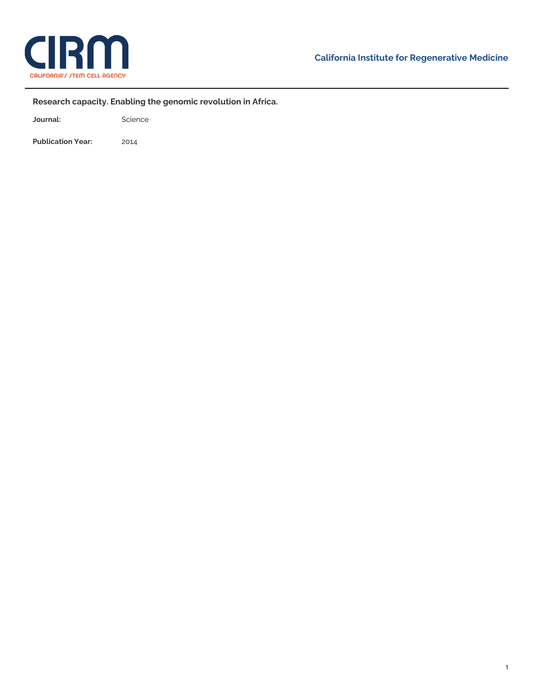

÷,

## **Research capacity. Enabling the genomic revolution in Africa.**

Journal: Science

**Publication Year:** 2014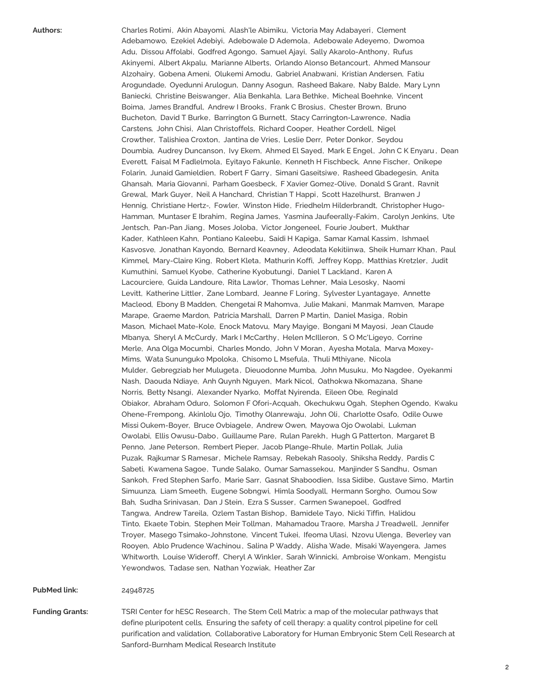Authors: Charles Rotimi, Akin Abayomi, Alash'le Abimiku, Victoria May Adabayeri, Clement Adebamowo, Ezekiel Adebiyi, Adebowale D Ademola, Adebowale Adeyemo, Dwomoa Adu, Dissou Affolabi, Godfred Agongo, Samuel Ajayi, Sally Akarolo-Anthony, Rufus Akinyemi, Albert Akpalu, Marianne Alberts, Orlando Alonso Betancourt, Ahmed Mansour Alzohairy, Gobena Ameni, Olukemi Amodu, Gabriel Anabwani, Kristian Andersen, Fatiu Arogundade, Oyedunni Arulogun, Danny Asogun, Rasheed Bakare, Naby Balde, Mary Lynn Baniecki, Christine Beiswanger, Alia Benkahla, Lara Bethke, Micheal Boehnke, Vincent Boima, James Brandful, Andrew I Brooks, Frank C Brosius, Chester Brown, Bruno Bucheton, David T Burke, Barrington G Burnett, Stacy Carrington-Lawrence, Nadia Carstens, John Chisi, Alan Christoffels, Richard Cooper, Heather Cordell, Nigel Crowther, Talishiea Croxton, Jantina de Vries, Leslie Derr, Peter Donkor, Seydou Doumbia, Audrey Duncanson, Ivy Ekem, Ahmed El Sayed, Mark E Engel, John C K Enyaru , Dean Everett, Faisal M Fadlelmola, Eyitayo Fakunle, Kenneth H Fischbeck, Anne Fischer, Onikepe Folarin, Junaid Gamieldien, Robert F Garry, Simani Gaseitsiwe, Rasheed Gbadegesin, Anita Ghansah, Maria Giovanni, Parham Goesbeck, F Xavier Gomez-Olive, Donald S Grant, Ravnit Grewal, Mark Guyer, Neil A Hanchard, Christian T Happi, Scott Hazelhurst, Branwen J Hennig, Christiane Hertz-, Fowler, Winston Hide, Friedhelm Hilderbrandt, Christopher Hugo-Hamman, Muntaser E Ibrahim, Regina James, Yasmina Jaufeerally-Fakim, Carolyn Jenkins, Ute Jentsch, Pan-Pan Jiang, Moses Joloba, Victor Jongeneel, Fourie Joubert, Mukthar Kader, Kathleen Kahn, Pontiano Kaleebu, Saidi H Kapiga, Samar Kamal Kassim, Ishmael Kasvosve, Jonathan Kayondo, Bernard Keavney, Adeodata Kekitiinwa, Sheik Humarr Khan, Paul Kimmel, Mary-Claire King, Robert Kleta, Mathurin Koffi, Jeffrey Kopp, Matthias Kretzler, Judit Kumuthini, Samuel Kyobe, Catherine Kyobutungi, Daniel T Lackland, Karen A Lacourciere, Guida Landoure, Rita Lawlor, Thomas Lehner, Maia Lesosky, Naomi Levitt, Katherine Littler, Zane Lombard, Jeanne F Loring, Sylvester Lyantagaye, Annette Macleod, Ebony B Madden, Chengetai R Mahomva, Julie Makani, Manmak Mamven, Marape Marape, Graeme Mardon, Patricia Marshall, Darren P Martin, Daniel Masiga, Robin Mason, Michael Mate-Kole, Enock Matovu, Mary Mayige, Bongani M Mayosi, Jean Claude Mbanya, Sheryl A McCurdy, Mark I McCarthy, Helen McIlleron, S O Mc'Ligeyo, Corrine Merle, Ana Olga Mocumbi, Charles Mondo, John V Moran , Ayesha Motala, Marva Moxey-Mims, Wata Sununguko Mpoloka, Chisomo L Msefula, Thuli Mthiyane, Nicola Mulder, Gebregziab her Mulugeta , Dieuodonne Mumba, John Musuku, Mo Nagdee, Oyekanmi Nash, Daouda Ndiaye, Anh Quynh Nguyen, Mark Nicol, Oathokwa Nkomazana, Shane Norris, Betty Nsangi, Alexander Nyarko, Moffat Nyirenda, Eileen Obe, Reginald Obiakor, Abraham Oduro, Solomon F Ofori-Acquah, Okechukwu Ogah, Stephen Ogendo, Kwaku Ohene-Frempong, Akinlolu Ojo, Timothy Olanrewaju, John Oli, Charlotte Osafo, Odile Ouwe Missi Oukem-Boyer, Bruce Ovbiagele, Andrew Owen, Mayowa Ojo Owolabi, Lukman Owolabi, Ellis Owusu-Dabo, Guillaume Pare, Rulan Parekh, Hugh G Patterton, Margaret B Penno, Jane Peterson, Rembert Pieper, Jacob Plange-Rhule, Martin Pollak, Julia Puzak, Rajkumar S Ramesar, Michele Ramsay, Rebekah Rasooly, Shiksha Reddy, Pardis C Sabeti, Kwamena Sagoe, Tunde Salako, Oumar Samassekou, Manjinder S Sandhu, Osman Sankoh, Fred Stephen Sarfo, Marie Sarr, Gasnat Shaboodien, Issa Sidibe, Gustave Simo, Martin Simuunza, Liam Smeeth, Eugene Sobngwi, Himla Soodyall, Hermann Sorgho, Oumou Sow Bah, Sudha Srinivasan, Dan J Stein, Ezra S Susser, Carmen Swanepoel, Godfred Tangwa, Andrew Tareila, Ozlem Tastan Bishop, Bamidele Tayo, Nicki Tiffin, Halidou Tinto, Ekaete Tobin, Stephen Meir Tollman, Mahamadou Traore, Marsha J Treadwell, Jennifer Troyer, Masego Tsimako-Johnstone, Vincent Tukei, Ifeoma Ulasi, Nzovu Ulenga, Beverley van Rooyen, Ablo Prudence Wachinou , Salina P Waddy, Alisha Wade, Misaki Wayengera, James Whitworth, Louise Wideroff, Cheryl A Winkler, Sarah Winnicki, Ambroise Wonkam, Mengistu Yewondwos, Tadase sen, Nathan Yozwiak, Heather Zar

**PubMed link:** 24948725

**Funding Grants:** TSRI Center for hESC [Research,](https://www.cirm.ca.gov/our-progress/awards/tsri-center-hesc-research) The Stem Cell Matrix: a map of the molecular pathways that define [pluripotent](https://www.cirm.ca.gov/our-progress/awards/stem-cell-matrix-map-molecular-pathways-define-pluripotent-cells) cells, Ensuring the safety of cell therapy: a quality control pipeline for cell purification and validation, [Collaborative](https://www.cirm.ca.gov/our-progress/awards/ensuring-safety-cell-therapy-quality-control-pipeline-cell-purification-and) Laboratory for Human Embryonic Stem Cell Research at [Sanford-Burnham](https://www.cirm.ca.gov/our-progress/awards/collaborative-laboratory-human-embryonic-stem-cell-research-sanford-burnham) Medical Research Institute